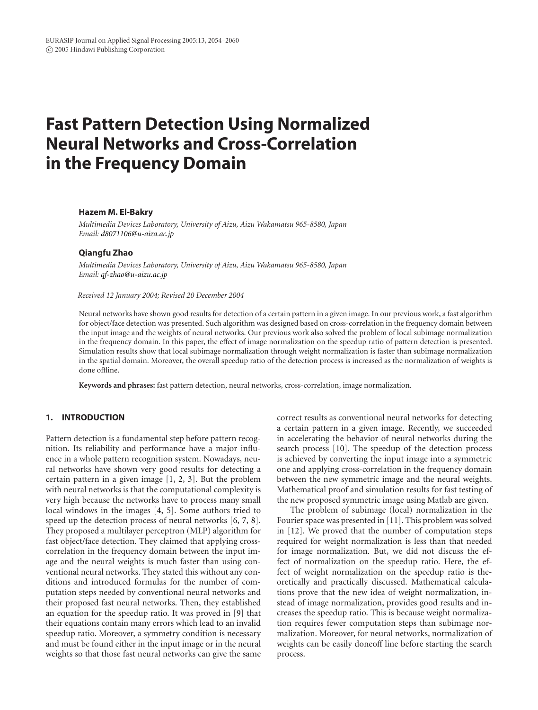# **Fast Pattern Detection Using Normalized Neural Networks and Cross-Correlation in the Frequency Domain**

#### **Hazem M. El-Bakry**

*Multimedia Devices Laboratory, University of Aizu, Aizu Wakamatsu 965-8580, Japan Email: [d8071106@u-aiza.ac.jp](mailto:d8071106@u-aiza.ac.jp)*

### **Qiangfu Zhao**

*Multimedia Devices Laboratory, University of Aizu, Aizu Wakamatsu 965-8580, Japan Email: [qf-zhao@u-aizu.ac.jp](mailto:qf-zhao@u-aizu.ac.jp)*

#### *Received 12 January 2004; Revised 20 December 2004*

Neural networks have shown good results for detection of a certain pattern in a given image. In our previous work, a fast algorithm for object/face detection was presented. Such algorithm was designed based on cross-correlation in the frequency domain between the input image and the weights of neural networks. Our previous work also solved the problem of local subimage normalization in the frequency domain. In this paper, the effect of image normalization on the speedup ratio of pattern detection is presented. Simulation results show that local subimage normalization through weight normalization is faster than subimage normalization in the spatial domain. Moreover, the overall speedup ratio of the detection process is increased as the normalization of weights is done offline.

**Keywords and phrases:** fast pattern detection, neural networks, cross-correlation, image normalization.

## **1. INTRODUCTION**

Pattern detection is a fundamental step before pattern recognition. Its reliability and performance have a major influence in a whole pattern recognition system. Nowadays, neural networks have shown very good results for detecting a certain pattern in a given image [\[1](#page-5-0), [2,](#page-5-1) [3](#page-5-2)]. But the problem with neural networks is that the computational complexity is very high because the networks have to process many small local windows in the images [\[4,](#page-6-0) [5\]](#page-6-1). Some authors tried to speed up the detection process of neural networks [\[6,](#page-6-2) [7,](#page-6-3) [8\]](#page-6-4). They proposed a multilayer perceptron (MLP) algorithm for fast object/face detection. They claimed that applying crosscorrelation in the frequency domain between the input image and the neural weights is much faster than using conventional neural networks. They stated this without any conditions and introduced formulas for the number of computation steps needed by conventional neural networks and their proposed fast neural networks. Then, they established an equation for the speedup ratio. It was proved in [\[9\]](#page-6-5) that their equations contain many errors which lead to an invalid speedup ratio. Moreover, a symmetry condition is necessary and must be found either in the input image or in the neural weights so that those fast neural networks can give the same

correct results as conventional neural networks for detecting a certain pattern in a given image. Recently, we succeeded in accelerating the behavior of neural networks during the search process [\[10](#page-6-6)]. The speedup of the detection process is achieved by converting the input image into a symmetric one and applying cross-correlation in the frequency domain between the new symmetric image and the neural weights. Mathematical proof and simulation results for fast testing of the new proposed symmetric image using Matlab are given.

The problem of subimage (local) normalization in the Fourier space was presented in [\[11](#page-6-7)]. This problem was solved in [\[12\]](#page-6-8). We proved that the number of computation steps required for weight normalization is less than that needed for image normalization. But, we did not discuss the effect of normalization on the speedup ratio. Here, the effect of weight normalization on the speedup ratio is theoretically and practically discussed. Mathematical calculations prove that the new idea of weight normalization, instead of image normalization, provides good results and increases the speedup ratio. This is because weight normalization requires fewer computation steps than subimage normalization. Moreover, for neural networks, normalization of weights can be easily doneoff line before starting the search process.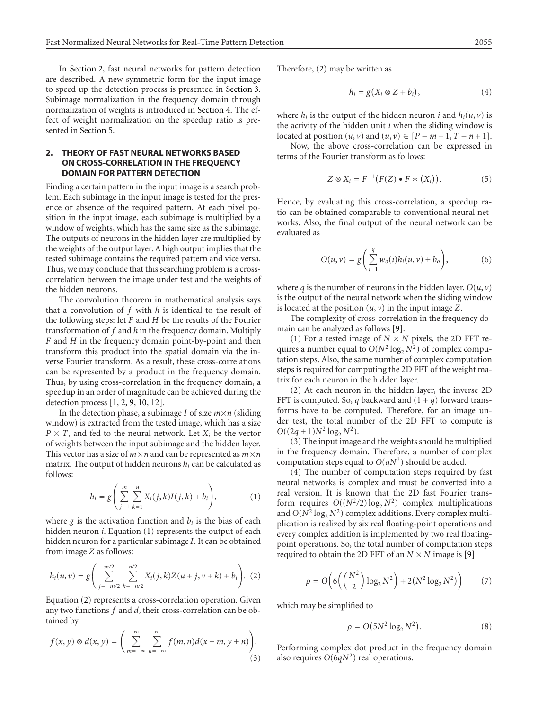In [Section 2,](#page-1-0) fast neural networks for pattern detection are described. A new symmetric form for the input image to speed up the detection process is presented in [Section 3.](#page-2-0) Subimage normalization in the frequency domain through normalization of weights is introduced in [Section 4.](#page-4-0) The effect of weight normalization on the speedup ratio is presented in [Section 5.](#page-4-1)

## <span id="page-1-0"></span>**2. THEORY OF FAST NEURAL NETWORKS BASED ON CROSS-CORRELATION IN THE FREQUENCY DOMAIN FOR PATTERN DETECTION**

Finding a certain pattern in the input image is a search problem. Each subimage in the input image is tested for the presence or absence of the required pattern. At each pixel position in the input image, each subimage is multiplied by a window of weights, which has the same size as the subimage. The outputs of neurons in the hidden layer are multiplied by the weights of the output layer. A high output implies that the tested subimage contains the required pattern and vice versa. Thus, we may conclude that this searching problem is a crosscorrelation between the image under test and the weights of the hidden neurons.

The convolution theorem in mathematical analysis says that a convolution of *f* with *h* is identical to the result of the following steps: let *F* and *H* be the results of the Fourier transformation of *f* and *h* in the frequency domain. Multiply *F* and *H* in the frequency domain point-by-point and then transform this product into the spatial domain via the inverse Fourier transform. As a result, these cross-correlations can be represented by a product in the frequency domain. Thus, by using cross-correlation in the frequency domain, a speedup in an order of magnitude can be achieved during the detection process [\[1](#page-5-0), [2,](#page-5-1) [9](#page-6-5), [10,](#page-6-6) [12\]](#page-6-8).

<span id="page-1-1"></span>In the detection phase, a subimage *I* of size  $m \times n$  (sliding window) is extracted from the tested image, which has a size  $P \times T$ , and fed to the neural network. Let  $X_i$  be the vector of weights between the input subimage and the hidden layer. This vector has a size of  $m \times n$  and can be represented as  $m \times n$ matrix. The output of hidden neurons *hi* can be calculated as follows:

$$
h_i = g\left(\sum_{j=1}^m \sum_{k=1}^n X_i(j,k)I(j,k) + b_i\right),
$$
 (1)

<span id="page-1-2"></span>where  $g$  is the activation function and  $b_i$  is the bias of each hidden neuron *i*. Equation [\(1\)](#page-1-1) represents the output of each hidden neuron for a particular subimage *I*. It can be obtained from image *Z* as follows:

$$
h_i(u,v) = g\left(\sum_{j=-m/2}^{m/2} \sum_{k=-n/2}^{n/2} X_i(j,k)Z(u+j,v+k) + b_i\right). (2)
$$

Equation [\(2\)](#page-1-2) represents a cross-correlation operation. Given any two functions *f* and *d*, their cross-correlation can be obtained by

$$
f(x, y) \otimes d(x, y) = \left( \sum_{m=-\infty}^{\infty} \sum_{n=-\infty}^{\infty} f(m, n) d(x + m, y + n) \right). \tag{3}
$$

Therefore, [\(2\)](#page-1-2) may be written as

$$
h_i = g(X_i \otimes Z + b_i), \tag{4}
$$

where  $h_i$  is the output of the hidden neuron *i* and  $h_i(u, v)$  is the activity of the hidden unit *i* when the sliding window is located at position  $(u, v)$  and  $(u, v) \in [P - m + 1, T - n + 1]$ .

Now, the above cross-correlation can be expressed in terms of the Fourier transform as follows:

$$
Z \otimes X_i = F^{-1}(F(Z) \bullet F \ast (X_i)). \tag{5}
$$

Hence, by evaluating this cross-correlation, a speedup ratio can be obtained comparable to conventional neural networks. Also, the final output of the neural network can be evaluated as

$$
O(u, v) = g\left(\sum_{i=1}^{q} w_o(i)h_i(u, v) + b_o\right),
$$
 (6)

where *q* is the number of neurons in the hidden layer.  $O(u, v)$ is the output of the neural network when the sliding window is located at the position  $(u, v)$  in the input image  $Z$ .

The complexity of cross-correlation in the frequency domain can be analyzed as follows [\[9\]](#page-6-5).

(1) For a tested image of  $N \times N$  pixels, the 2D FFT requires a number equal to  $O(N^2 \log_2 N^2)$  of complex computation steps. Also, the same number of complex computation steps is required for computing the 2D FFT of the weight matrix for each neuron in the hidden layer.

(2) At each neuron in the hidden layer, the inverse 2D FFT is computed. So, *q* backward and  $(1 + q)$  forward transforms have to be computed. Therefore, for an image under test, the total number of the 2D FFT to compute is  $O((2q+1)N^2 \log_2 N^2)$ .

(3) The input image and the weights should be multiplied in the frequency domain. Therefore, a number of complex computation steps equal to  $O(qN^2)$  should be added.

(4) The number of computation steps required by fast neural networks is complex and must be converted into a real version. It is known that the 2D fast Fourier transform requires  $O((N^2/2) \log_2 N^2)$  complex multiplications and  $O(N^2 \log_2 N^2)$  complex additions. Every complex multiplication is realized by six real floating-point operations and every complex addition is implemented by two real floatingpoint operations. So, the total number of computation steps required to obtain the 2D FFT of an  $N \times N$  image is [\[9](#page-6-5)]

$$
\rho = O\left(6\left(\left(\frac{N^2}{2}\right)\log_2 N^2\right) + 2(N^2 \log_2 N^2)\right) \tag{7}
$$

which may be simplified to

$$
\rho = O(5N^2 \log_2 N^2). \tag{8}
$$

Performing complex dot product in the frequency domain also requires *O*(6*qN*2) real operations.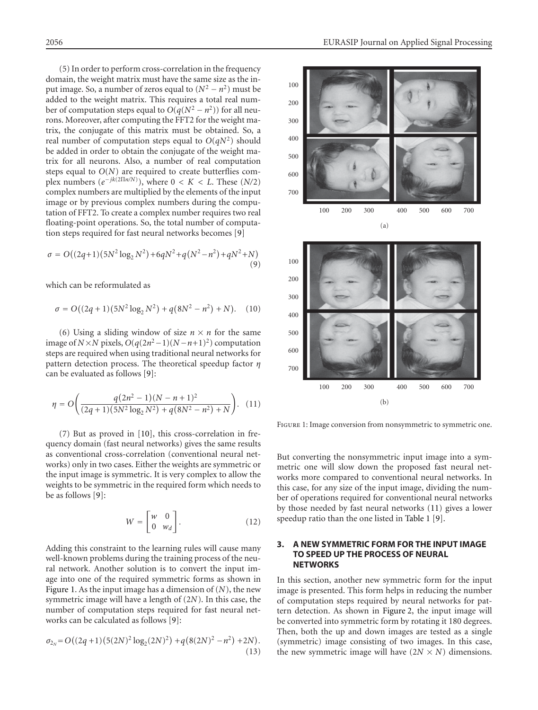(5) In order to perform cross-correlation in the frequency domain, the weight matrix must have the same size as the input image. So, a number of zeros equal to  $(N^2 - n^2)$  must be added to the weight matrix. This requires a total real number of computation steps equal to  $O(q(N^2 - n^2))$  for all neurons. Moreover, after computing the FFT2 for the weight matrix, the conjugate of this matrix must be obtained. So, a real number of computation steps equal to  $O(qN^2)$  should be added in order to obtain the conjugate of the weight matrix for all neurons. Also, a number of real computation steps equal to *O*(*N*) are required to create butterflies complex numbers  $(e^{-jk(2\Pi n/N)})$ , where  $0 < K < L$ . These  $(N/2)$ complex numbers are multiplied by the elements of the input image or by previous complex numbers during the computation of FFT2. To create a complex number requires two real floating-point operations. So, the total number of computation steps required for fast neural networks becomes [\[9\]](#page-6-5)

<span id="page-2-3"></span>
$$
\sigma = O((2q+1)(5N^2 \log_2 N^2) + 6qN^2 + q(N^2 - n^2) + qN^2 + N)
$$
\n(9)

which can be reformulated as

$$
\sigma = O((2q+1)(5N^2 \log_2 N^2) + q(8N^2 - n^2) + N). \quad (10)
$$

(6) Using a sliding window of size  $n \times n$  for the same image of *N*×*N* pixels,  $O(q(2n^2-1)(N-n+1)^2)$  computation steps are required when using traditional neural networks for pattern detection process. The theoretical speedup factor *η* can be evaluated as follows [\[9](#page-6-5)]:

<span id="page-2-2"></span>
$$
\eta = O\bigg(\frac{q(2n^2 - 1)(N - n + 1)^2}{(2q + 1)(5N^2 \log_2 N^2) + q(8N^2 - n^2) + N}\bigg). \tag{11}
$$

(7) But as proved in [\[10\]](#page-6-6), this cross-correlation in frequency domain (fast neural networks) gives the same results as conventional cross-correlation (conventional neural networks) only in two cases. Either the weights are symmetric or the input image is symmetric. It is very complex to allow the weights to be symmetric in the required form which needs to be as follows [\[9\]](#page-6-5):

$$
W = \begin{bmatrix} w & 0 \\ 0 & w_d \end{bmatrix} . \tag{12}
$$

Adding this constraint to the learning rules will cause many well-known problems during the training process of the neural network. Another solution is to convert the input image into one of the required symmetric forms as shown in [Figure 1.](#page-2-1) As the input image has a dimension of (*N*), the new symmetric image will have a length of (2*N*). In this case, the number of computation steps required for fast neural networks can be calculated as follows [\[9\]](#page-6-5):

$$
\sigma_{2_N} = O((2q+1)(5(2N)^2 \log_2(2N)^2) + q(8(2N)^2 - n^2) + 2N).
$$
\n(13)



<span id="page-2-1"></span>Figure 1: Image conversion from nonsymmetric to symmetric one.

But converting the nonsymmetric input image into a symmetric one will slow down the proposed fast neural networks more compared to conventional neural networks. In this case, for any size of the input image, dividing the number of operations required for conventional neural networks by those needed by fast neural networks [\(11\)](#page-2-2) gives a lower speedup ratio than the one listed in [Table 1](#page-3-0) [\[9\]](#page-6-5).

## <span id="page-2-0"></span>**3. A NEW SYMMETRIC FORM FOR THE INPUT IMAGE TO SPEED UP THE PROCESS OF NEURAL NETWORKS**

In this section, another new symmetric form for the input image is presented. This form helps in reducing the number of computation steps required by neural networks for pattern detection. As shown in [Figure 2,](#page-3-1) the input image will be converted into symmetric form by rotating it 180 degrees. Then, both the up and down images are tested as a single (symmetric) image consisting of two images. In this case, the new symmetric image will have  $(2N \times N)$  dimensions.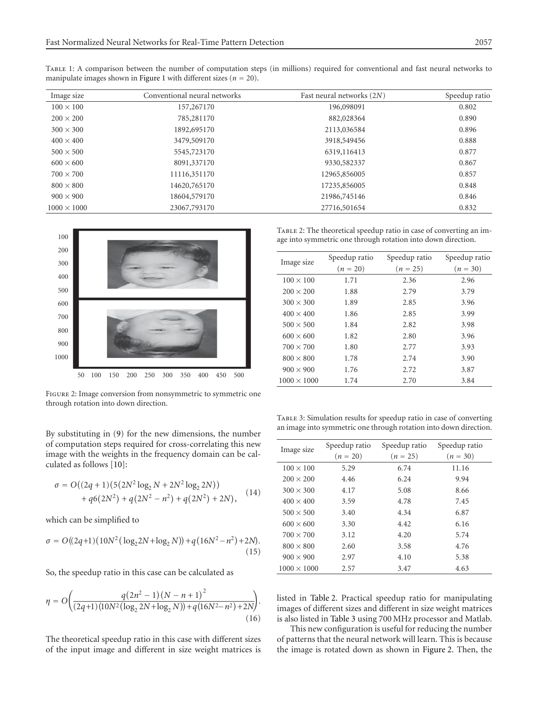<span id="page-3-0"></span>

| TABLE 1: A comparison between the number of computation steps (in millions) required for conventional and fast neural networks to |  |  |  |  |  |
|-----------------------------------------------------------------------------------------------------------------------------------|--|--|--|--|--|
| manipulate images shown in Figure 1 with different sizes ( $n = 20$ ).                                                            |  |  |  |  |  |

| Image size         | Conventional neural networks | Fast neural networks (2N) | Speedup ratio |
|--------------------|------------------------------|---------------------------|---------------|
| $100 \times 100$   | 157,267170                   | 196,098091                | 0.802         |
| $200 \times 200$   | 785,281170                   | 882,028364                | 0.890         |
| $300 \times 300$   | 1892,695170                  | 2113,036584               | 0.896         |
| $400 \times 400$   | 3479,509170                  | 3918,549456               | 0.888         |
| $500 \times 500$   | 5545,723170                  | 6319,116413               | 0.877         |
| $600 \times 600$   | 8091,337170                  | 9330,582337               | 0.867         |
| $700 \times 700$   | 11116,351170                 | 12965,856005              | 0.857         |
| $800 \times 800$   | 14620,765170                 | 17235,856005              | 0.848         |
| $900 \times 900$   | 18604,579170                 | 21986,745146              | 0.846         |
| $1000 \times 1000$ | 23067,793170                 | 27716,501654              | 0.832         |
|                    |                              |                           |               |



<span id="page-3-1"></span>FIGURE 2: Image conversion from nonsymmetric to symmetric one through rotation into down direction.

By substituting in [\(9\)](#page-2-3) for the new dimensions, the number of computation steps required for cross-correlating this new image with the weights in the frequency domain can be calculated as follows [\[10](#page-6-6)]:

$$
\sigma = O((2q+1)(5(2N^2 \log_2 N + 2N^2 \log_2 2N)) + q(2N^2) + q(2N^2 - n^2) + q(2N^2) + 2N),
$$
 (14)

which can be simplified to

$$
\sigma = O((2q+1)(10N^2(\log_2 2N + \log_2 N)) + q(16N^2 - n^2) + 2N).
$$
\n(15)

So, the speedup ratio in this case can be calculated as

$$
\eta = O\left(\frac{q(2n^2 - 1)(N - n + 1)^2}{(2q + 1)(10N^2(\log_2 2N + \log_2 N)) + q(16N^2 - n^2) + 2N}\right).
$$
\n(16)

The theoretical speedup ratio in this case with different sizes of the input image and different in size weight matrices is

<span id="page-3-2"></span>TABLE 2: The theoretical speedup ratio in case of converting an image into symmetric one through rotation into down direction.

| Image size         | Speedup ratio | Speedup ratio | Speedup ratio |  |
|--------------------|---------------|---------------|---------------|--|
|                    | $(n = 20)$    | $(n = 25)$    |               |  |
| $100 \times 100$   | 1.71          | 2.36          | 2.96          |  |
| $200 \times 200$   | 1.88          | 2.79          | 3.79          |  |
| $300 \times 300$   | 1.89          | 2.85          | 3.96          |  |
| $400 \times 400$   | 1.86          | 2.85          | 3.99          |  |
| $500 \times 500$   | 1.84          | 2.82          | 3.98          |  |
| $600 \times 600$   | 1.82          | 2.80          | 3.96          |  |
| $700 \times 700$   | 1.80          | 2.77          | 3.93          |  |
| $800 \times 800$   | 1.78          | 2.74          | 3.90          |  |
| $900 \times 900$   | 1.76          | 2.72          | 3.87          |  |
| $1000 \times 1000$ | 1.74          | 2.70          | 3.84          |  |

<span id="page-3-3"></span>Table 3: Simulation results for speedup ratio in case of converting an image into symmetric one through rotation into down direction.

| Image size         | Speedup ratio | Speedup ratio |            |
|--------------------|---------------|---------------|------------|
|                    | $(n = 20)$    | $(n = 25)$    | $(n = 30)$ |
| $100 \times 100$   | 5.29          | 6.74          | 11.16      |
| $200 \times 200$   | 4.46          | 6.24          | 9.94       |
| $300 \times 300$   | 4.17          | 5.08          | 8.66       |
| $400 \times 400$   | 3.59          | 4.78          | 7.45       |
| $500 \times 500$   | 3.40          | 4.34          | 6.87       |
| $600 \times 600$   | 3.30          | 4.42          | 6.16       |
| $700 \times 700$   | 3.12          | 4.20          | 5.74       |
| $800 \times 800$   | 2.60          | 3.58          | 4.76       |
| $900 \times 900$   | 2.97          | 4.10          | 5.38       |
| $1000 \times 1000$ | 2.57          | 3.47          | 4.63       |

listed in [Table 2.](#page-3-2) Practical speedup ratio for manipulating images of different sizes and different in size weight matrices is also listed in [Table 3](#page-3-3) using 700 MHz processor and Matlab.

This new configuration is useful for reducing the number of patterns that the neural network will learn. This is because the image is rotated down as shown in [Figure 2.](#page-3-1) Then, the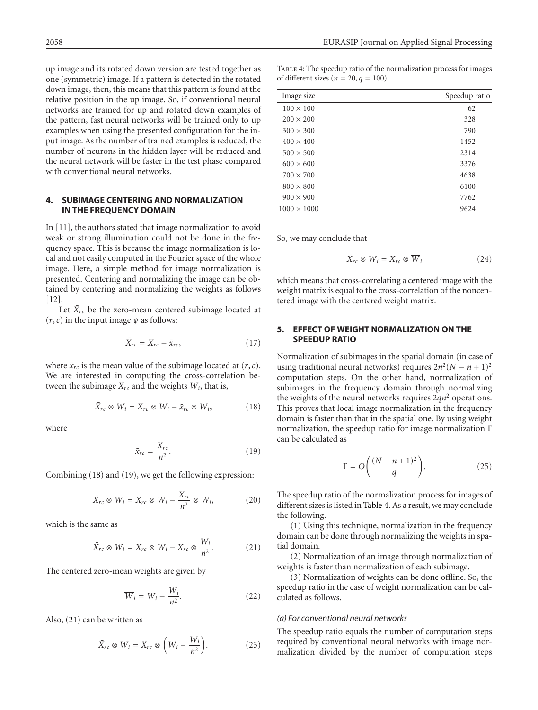up image and its rotated down version are tested together as one (symmetric) image. If a pattern is detected in the rotated down image, then, this means that this pattern is found at the relative position in the up image. So, if conventional neural networks are trained for up and rotated down examples of the pattern, fast neural networks will be trained only to up examples when using the presented configuration for the input image. As the number of trained examples is reduced, the number of neurons in the hidden layer will be reduced and the neural network will be faster in the test phase compared with conventional neural networks.

#### <span id="page-4-0"></span>**4. SUBIMAGE CENTERING AND NORMALIZATION IN THE FREQUENCY DOMAIN**

In [\[11](#page-6-7)], the authors stated that image normalization to avoid weak or strong illumination could not be done in the frequency space. This is because the image normalization is local and not easily computed in the Fourier space of the whole image. Here, a simple method for image normalization is presented. Centering and normalizing the image can be obtained by centering and normalizing the weights as follows [\[12](#page-6-8)].

Let  $\bar{X}_{rc}$  be the zero-mean centered subimage located at  $(r, c)$  in the input image  $\psi$  as follows:

$$
\bar{X}_{rc} = X_{rc} - \bar{x}_{rc},\tag{17}
$$

where  $\bar{x}_{rc}$  is the mean value of the subimage located at  $(r, c)$ . We are interested in computing the cross-correlation between the subimage  $\bar{X}_{rc}$  and the weights  $W_i$ , that is,

$$
\bar{X}_{rc} \otimes W_i = X_{rc} \otimes W_i - \bar{x}_{rc} \otimes W_i, \qquad (18)
$$

where

<span id="page-4-3"></span><span id="page-4-2"></span>
$$
\bar{x}_{rc} = \frac{X_{rc}}{n^2}.\tag{19}
$$

Combining [\(18\)](#page-4-2) and [\(19\)](#page-4-3), we get the following expression:

$$
\bar{X}_{rc} \otimes W_i = X_{rc} \otimes W_i - \frac{X_{rc}}{n^2} \otimes W_i, \qquad (20)
$$

which is the same as

$$
\bar{X}_{rc} \otimes W_i = X_{rc} \otimes W_i - X_{rc} \otimes \frac{W_i}{n^2}.
$$
 (21)

The centered zero-mean weights are given by

<span id="page-4-4"></span>
$$
\overline{W}_i = W_i - \frac{W_i}{n^2}.
$$
 (22)

Also, [\(21\)](#page-4-4) can be written as

$$
\bar{X}_{rc} \otimes W_i = X_{rc} \otimes \left(W_i - \frac{W_i}{n^2}\right). \tag{23}
$$

<span id="page-4-5"></span>Table 4: The speedup ratio of the normalization process for images of different sizes ( $n = 20$ ,  $q = 100$ ).

| Image size         | Speedup ratio |
|--------------------|---------------|
| $100 \times 100$   | 62            |
| $200 \times 200$   | 328           |
| $300 \times 300$   | 790           |
| $400 \times 400$   | 1452          |
| $500 \times 500$   | 2314          |
| $600 \times 600$   | 3376          |
| $700 \times 700$   | 4638          |
| $800 \times 800$   | 6100          |
| $900 \times 900$   | 7762          |
| $1000 \times 1000$ | 9624          |

So, we may conclude that

$$
\bar{X}_{rc} \otimes W_i = X_{rc} \otimes \overline{W}_i \tag{24}
$$

which means that cross-correlating a centered image with the weight matrix is equal to the cross-correlation of the noncentered image with the centered weight matrix.

# <span id="page-4-1"></span>**5. EFFECT OF WEIGHT NORMALIZATION ON THE SPEEDUP RATIO**

Normalization of subimages in the spatial domain (in case of using traditional neural networks) requires  $2n^2(N - n + 1)^2$ computation steps. On the other hand, normalization of subimages in the frequency domain through normalizing the weights of the neural networks requires 2*qn*<sup>2</sup> operations. This proves that local image normalization in the frequency domain is faster than that in the spatial one. By using weight normalization, the speedup ratio for image normalization Γ can be calculated as

$$
\Gamma = O\left(\frac{(N-n+1)^2}{q}\right).
$$
 (25)

The speedup ratio of the normalization process for images of different sizes is listed in [Table 4.](#page-4-5) As a result, we may conclude the following.

(1) Using this technique, normalization in the frequency domain can be done through normalizing the weights in spatial domain.

(2) Normalization of an image through normalization of weights is faster than normalization of each subimage.

(3) Normalization of weights can be done offline. So, the speedup ratio in the case of weight normalization can be calculated as follows.

#### *(a) For conventional neural networks*

The speedup ratio equals the number of computation steps required by conventional neural networks with image normalization divided by the number of computation steps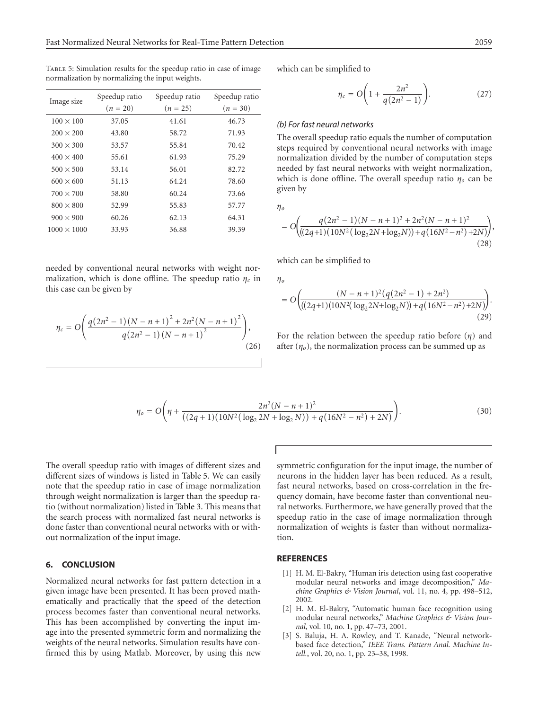<span id="page-5-3"></span>TABLE 5: Simulation results for the speedup ratio in case of image normalization by normalizing the input weights.

| Image size         | Speedup ratio<br>Speedup ratio |            | Speedup ratio |  |
|--------------------|--------------------------------|------------|---------------|--|
|                    | $(n = 20)$                     | $(n = 25)$ | $(n = 30)$    |  |
| $100 \times 100$   | 37.05                          | 41.61      | 46.73         |  |
| $200 \times 200$   | 43.80                          | 58.72      | 71.93         |  |
| $300 \times 300$   | 53.57                          | 55.84      | 70.42         |  |
| $400 \times 400$   | 55.61                          | 61.93      | 75.29         |  |
| $500 \times 500$   | 53.14                          | 56.01      | 82.72         |  |
| $600 \times 600$   | 51.13                          | 64.24      | 78.60         |  |
| $700 \times 700$   | 58.80                          | 60.24      | 73.66         |  |
| $800 \times 800$   | 52.99                          | 55.83      | 57.77         |  |
| $900 \times 900$   | 60.26                          | 62.13      | 64.31         |  |
| $1000 \times 1000$ | 33.93                          | 36.88      | 39.39         |  |

needed by conventional neural networks with weight normalization, which is done offline. The speedup ratio *ηc* in this case can be given by

$$
\eta_c = O\Bigg(\frac{q(2n^2 - 1)(N - n + 1)^2 + 2n^2(N - n + 1)^2}{q(2n^2 - 1)(N - n + 1)^2}\Bigg),\tag{26}
$$

which can be simplified to

$$
\eta_c = O\bigg(1 + \frac{2n^2}{q(2n^2 - 1)}\bigg). \tag{27}
$$

#### *(b) For fast neural networks*

The overall speedup ratio equals the number of computation steps required by conventional neural networks with image normalization divided by the number of computation steps needed by fast neural networks with weight normalization, which is done offline. The overall speedup ratio *ηo* can be given by

*ηo*

$$
= O\left(\frac{q(2n^2-1)(N-n+1)^2 + 2n^2(N-n+1)^2}{((2q+1)(10N^2(\log_2 2N+\log_2 N)) + q(16N^2-n^2)+2N)}\right),\tag{28}
$$

which can be simplified to

*ηo*

$$
=O\left(\frac{(N-n+1)^2(q(2n^2-1)+2n^2)}{((2q+1)(10N^2(\log_22N+\log_2N))+q(16N^2-n^2)+2N)}\right).
$$
\n(29)

For the relation between the speedup ratio before (*η*) and after  $(\eta_o)$ , the normalization process can be summed up as

$$
\eta_o = O\bigg(\eta + \frac{2n^2(N - n + 1)^2}{((2q + 1)(10N^2(\log_2 2N + \log_2 N)) + q(16N^2 - n^2) + 2N)}\bigg).
$$
\n(30)

The overall speedup ratio with images of different sizes and different sizes of windows is listed in [Table 5.](#page-5-3) We can easily note that the speedup ratio in case of image normalization through weight normalization is larger than the speedup ratio (without normalization) listed in [Table 3.](#page-3-3) This means that the search process with normalized fast neural networks is done faster than conventional neural networks with or without normalization of the input image.

# **6. CONCLUSION**

Normalized neural networks for fast pattern detection in a given image have been presented. It has been proved mathematically and practically that the speed of the detection process becomes faster than conventional neural networks. This has been accomplished by converting the input image into the presented symmetric form and normalizing the weights of the neural networks. Simulation results have confirmed this by using Matlab. Moreover, by using this new symmetric configuration for the input image, the number of neurons in the hidden layer has been reduced. As a result, fast neural networks, based on cross-correlation in the frequency domain, have become faster than conventional neural networks. Furthermore, we have generally proved that the speedup ratio in the case of image normalization through normalization of weights is faster than without normalization.

#### <span id="page-5-0"></span>**REFERENCES**

- [1] H. M. El-Bakry, "Human iris detection using fast cooperative modular neural networks and image decomposition," *Machine Graphics & Vision Journal*, vol. 11, no. 4, pp. 498–512, 2002.
- <span id="page-5-1"></span>[2] H. M. El-Bakry, "Automatic human face recognition using modular neural networks," *Machine Graphics & Vision Journal*, vol. 10, no. 1, pp. 47–73, 2001.
- <span id="page-5-2"></span>[3] S. Baluja, H. A. Rowley, and T. Kanade, "Neural networkbased face detection," *IEEE Trans. Pattern Anal. Machine Intell.*, vol. 20, no. 1, pp. 23–38, 1998.